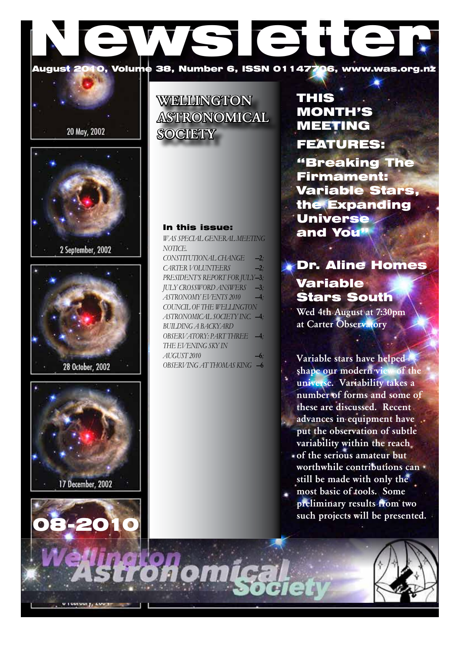# August 2010, Volume 38, Number 6, ISSN 01147706, www.was.org 0, Volume 38, Number 6, ISSN 01147706, www.was.org.nz









08-20

# **WELLINGTON** ASTRONOMICAL **SOCIETY**

### In this issue:

*WAS Special general Meeting Notice.*   $CONSTITUTIONAL CHANGE$ *CARTER VOLUNTEERS* —2*; PRESIDENT's REPORT FOR JULY*—3*; July Crossword answers* —3*;*  $ASTRONOMY FVENTS 2010$ *COUNCIL OF THE WELLINGTON ASTRONOMICAL SOCIETY INC.* —4*; Building a Backyard Observatory: Part Three* —4*; The Evening Sky in August 2010* —6*; OBSERVING AT THOMAS KING* —6

# THIS MONTH'S MEETING FEATURES:

"Breaking The Firmament: Variable Stars, the Expanding Universe and You"

# Dr. Aline Homes Variable Stars South

Wed 4th August at 7:30pm at Carter Observatory

Variable stars have helped shape our modern view of the universe. Variability takes a number of forms and some of these are discussed. Recent advances in equipment have put the observation of subtle variability within the reach of the serious amateur but

- worthwhile contributions can still be made with only the
- most basic of tools. Some preliminary results from two such projects will be presented.

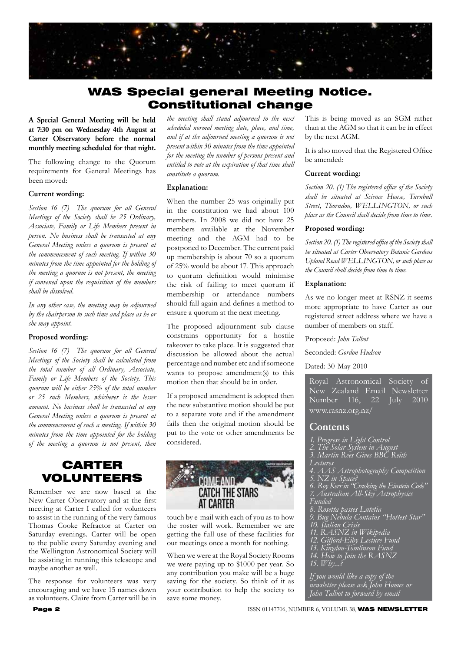

# WAS Special general Meeting Notice. Constitutional change

A Special General Meeting will be held at 7:30 pm on Wednesday 4th August at Carter Observatory before the normal monthly meeting scheduled for that night.

The following change to the Quorum requirements for General Meetings has been moved:

#### Current wording:

*Section 16 (7) The quorum for all General Meetings of the Society shall be 25 Ordinary, Associate, Family or Life Members present in person. No business shall be transacted at any General Meeting unless a quorum is present at the commencement of such meeting. If within 30 minutes from the time appointed for the holding of the meeting a quorum is not present, the meeting if convened upon the requisition of the members shall be dissolved.*

*In any other case, the meeting may be adjourned by the chairperson to such time and place as he or she may appoint.*

#### Proposed wording:

*Section 16 (7) The quorum for all General Meetings of the Society shall be calculated from the total number of all Ordinary, Associate, Family or Life Members of the Society. This quorum will be either 25% of the total number or 25 such Members, whichever is the lesser amount. No business shall be transacted at any General Meeting unless a quorum is present at the commencement of such a meeting. If within 30 minutes from the time appointed for the holding of the meeting a quorum is not present, then* 

# CARTER VOLUNTEERS

Remember we are now based at the New Carter Observatory and at the first meeting at Carter I called for volunteers to assist in the running of the very famous Thomas Cooke Refractor at Carter on Saturday evenings. Carter will be open to the public every Saturday evening and the Wellington Astronomical Society will be assisting in running this telescope and maybe another as well.

The response for volunteers was very encouraging and we have 15 names down as volunteers. Claire from Carter will be in

*the meeting shall stand adjourned to the next scheduled normal meeting date, place, and time, and if at the adjourned meeting a quorum is not present within 30 minutes from the time appointed for the meeting the number of persons present and entitled to vote at the expiration of that time shall constitute a quorum.*

#### Explanation:

When the number 25 was originally put in the constitution we had about 100 members. In 2008 we did not have 25 members available at the November meeting and the AGM had to be postponed to December. The current paid up membership is about 70 so a quorum of 25% would be about 17. This approach to quorum definition would minimise the risk of failing to meet quorum if membership or attendance numbers should fall again and defines a method to ensure a quorum at the next meeting.

The proposed adjournment sub clause constrains opportunity for a hostile takeover to take place. It is suggested that discussion be allowed about the actual percentage and number etc and if someone wants to propose amendment(s) to this motion then that should be in order.

If a proposed amendment is adopted then the new substantive motion should be put to a separate vote and if the amendment fails then the original motion should be put to the vote or other amendments be considered.



touch by e-mail with each of you as to how the roster will work. Remember we are getting the full use of these facilities for our meetings once a month for nothing.

When we were at the Royal Society Rooms we were paying up to \$1000 per year. So any contribution you make will be a huge saving for the society. So think of it as your contribution to help the society to save some money.

This is being moved as an SGM rather than at the AGM so that it can be in effect by the next AGM.

It is also moved that the Registered Office be amended:

#### Current wording:

*Section 20. (1) The registered office of the Society shall be situated at Science House, Turnbull Street, Thorndon, WELLINGTON, or such place as the Council shall decide from time to time.*

#### Proposed wording:

*Section 20. (1) The registered office of the Society shall be situated at Carter Observatory Botanic Gardens Upland Road WELLINGTON, or such place as the Council shall decide from time to time.*

#### Explanation:

As we no longer meet at RSNZ it seems more appropriate to have Carter as our registered street address where we have a number of members on staff.

Proposed: *John Talbot*

Seconded: *Gordon Hudson*

#### Dated: 30-May-2010

Royal Astronomical Society of New Zealand Email Newsletter<br>Number 116. 22 Iuly 2010 Number 116, 22 July 2010 www.rasnz.org.nz/

#### Contents

- *1. Progress in Light Control*
- *2. The Solar System in August*
- *3. Martin Rees Gives BBC Reith*
- *Lectures*
- *4. AAS Astrophotography Competition 5. NZ in Space?*
- 
- *6. Roy Kerr in "Cracking the Einstein Code" 7. Australian All-Sky Astrophysics Funded*
- *8. Rosetta passes Lutetia*
- *9. Bug Nebula Contains "Hottest Star" 10. Italian Crisis*
- 
- *11. RASNZ in Wikipedia 12. Gifford-Eiby Lecture Fund*
- *13. Kingdon-Tomlinson Fund*
- *14. How to Join the RASNZ*
- *15. Why...?*

*If you would like a copy of the newsletter please ask John Homes or John Talbot to forward by email*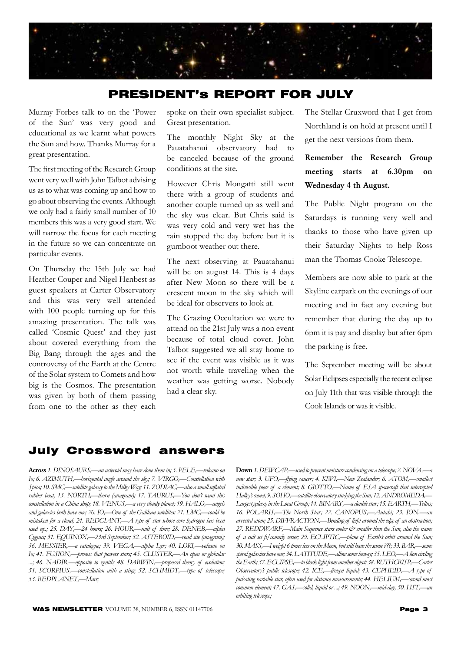

### PRESIDENT's REPORT FOR JULY

Murray Forbes talk to on the 'Power of the Sun' was very good and educational as we learnt what powers the Sun and how. Thanks Murray for a great presentation.

The first meeting of the Research Group went very well with John Talbot advising us as to what was coming up and how to go about observing the events. Although we only had a fairly small number of 10 members this was a very good start. We will narrow the focus for each meeting in the future so we can concentrate on particular events.

On Thursday the 15th July we had Heather Couper and Nigel Henbest as guest speakers at Carter Observatory and this was very well attended with 100 people turning up for this amazing presentation. The talk was called 'Cosmic Quest' and they just about covered everything from the Big Bang through the ages and the controversy of the Earth at the Centre of the Solar system to Comets and how big is the Cosmos. The presentation was given by both of them passing from one to the other as they each

spoke on their own specialist subject. Great presentation.

The monthly Night Sky at the Pauatahanui observatory had to be canceled because of the ground conditions at the site.

However Chris Mongatti still went there with a group of students and another couple turned up as well and the sky was clear. But Chris said is was very cold and very wet has the rain stopped the day before but it is gumboot weather out there.

The next observing at Pauatahanui will be on august 14. This is 4 days after New Moon so there will be a crescent moon in the sky which will be ideal for observers to look at.

The Grazing Occultation we were to attend on the 21st July was a non event because of total cloud cover. John Talbot suggested we all stay home to see if the event was visible as it was not worth while traveling when the weather was getting worse. Nobody had a clear sky.

The Stellar Cruxword that I get from Northland is on hold at present until I get the next versions from them.

Remember the Research Group meeting starts at 6.30pm on Wednesday 4 th August.

The Public Night program on the Saturdays is running very well and thanks to those who have given up their Saturday Nights to help Ross man the Thomas Cooke Telescope.

Members are now able to park at the Skyline carpark on the evenings of our meeting and in fact any evening but remember that during the day up to 6pm it is pay and display but after 6pm the parking is free.

The September meeting will be about Solar Eclipses especially the recent eclipse on July 11th that was visible through the Cook Islands or was it visible.

## July Crossword answers

Across 1. DINOSAURS,—an asteroid may have done them in; 5. PELE,—volcano on Io; 6. AZIMUTH,-*-horizontal angle around the sky; 7. VIRGO*,--Constellation with *Spica; 10. SMC'—satellite galaxy to the Milky Way; 11. ZODIAC'—also a small inflated rubber boat; 13. NORTH,—thorn (anagram); 17. TAURUS,—You don't want this constellation in a China shop; 18. VENUS'—a very cloudy planet; 19. HALO'—angels*  and galaxies both have one; 20. IO,—One of the Galilean satellites; 21. LMC,—could be *mistaken for a cloud; 24. REDGIANT'—A type of star whose core hydrogen has been*  used up.; 25. DAY,-24 hours; 26. HOUR,-unit of time; 28. DENEB,-alpha Cygnus; 31. EQUINOX,-23rd September; 32. ASTEROID,-road site (anagram); *36. MESSIER'—a catalogue; 39. VEGA'—alpha Lyr; 40. LOKI'—volcano on*  Io; 41. FUSION,-process that powers stars; 45. CLUSTER,-An open or globular ...; 46. NADIR,-opposite to zenith; 48. DARWIN,-proposed theory of evolution; *51. SCORPIUS'—constellation with a sting; 52. SCHMIDT'—type of telescope; 53. REDPLANET'—Mars;*

Down 1. DEWCAP,—used to prevent moisture condensing on a telescope; 2. NOVA,—a new star; 3. UFO,-flying saucer; 4. KIWI,-New Zealander; 6. ATOM,--smallest indivisible piece of a element; 8. GIOTTO,—Name of ESA spacecraft that intercepted *Halley's comet; 9. SOHO'—satellite observatory studying the Sun; 12. ANDROMEDA'—* Largest galaxy in the Local Group; 14. BINARY,—a double star; 15. EARTH,—Tellus; *16. POLARIS'—The North Star; 22. CANOPUS'—Autahi; 23. ION'—an arrested atom; 25. DIFFRACTION'—Bending of light around the edge of an obstruction;*  27. REDDWARF,—Main Sequence stars cooler  $\mathcal{C}^*$  smaller then the Sun, also the name *of a cult sci fi/comedy series; 29. ECLIPTIC'—plane of Earth's orbit around the Sun; 30. MASS'—I weight 6 times less on the Moon, but still have the same ???; 33. BAR'—some spiral galaxies have one; 34. LATITUDE'—allow some leeway; 35. LEO'—A lion circling*  the Earth; 37. ECLIPSE,—to block light from another object; 38. RUTHCRISP,—Carter *Observatory's public telescope; 42. ICE*,—frozen liquid; 43. CEPHEID,—A type of *pulsating variable star, often used for distance measurements; 44. HELIUM'—second most common element; 47. GAS'—solid, liquid or ...; 49. NOON'—mid-day; 50. HST'—an orbiting telescope;*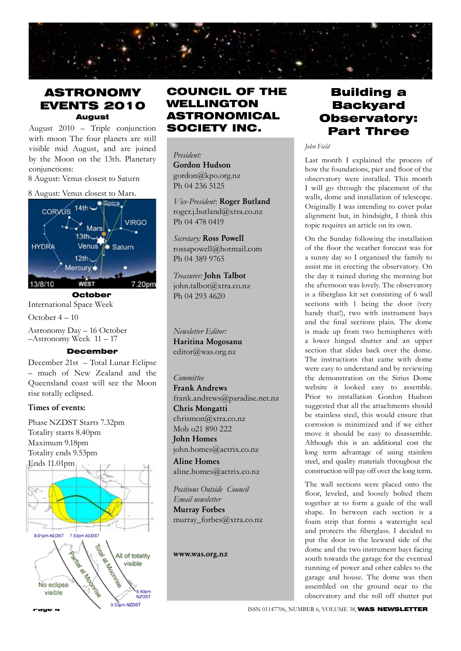

## ASTRONOMY EVENTS 2010 August

August 2010 – Triple conjunction with moon The four planets are still visible mid August, and are joined by the Moon on the 13th. Planetary conjunctions:

8 August: Venus closest to Saturn

#### 8 August: Venus closest to Mars.



International Space Week

October 4 – 10

Astronomy Day – 16 October  $-$ Astronomy Week  $11 - 17$ 

#### December

December 21st – Total Lunar Eclipse – much of New Zealand and the Queensland coast will see the Moon rise totally eclipsed.

#### Times of events:

Phase NZDST Starts 7.32pm Totality starts 8.40pm Maximum 9.18pm Totality ends 9.53pm Ends 11.01pm



# COUNCIL OF THE WELLINGTON ASTRONOMICAL SOCIETY INC.

*President:* 

Gordon Hudson gordon@kpo.org.nz Ph 04 236 5125

*Vice-President*: Roger Butland roger.j.butland@xtra.co.nz Ph 04 478 0419

*Secretary:* Ross Powell rossapowell@hotmail.com Ph 04 389 9765

*Treasurer:* John Talbot john.talbot@xtra.co.nz Ph 04 293 4620

*Newsletter Editor:*  Haritina Mogosanu editor@was.org.nz

#### *Committee*

Frank Andrews frank.andrews@paradise.net.nz Chris Mongatti chrismon@xtra.co.nz Mob o21 890 222 John Homes john.homes@actrix.co.nz

Aline Homes aline.homes@actrix.co.nz

*Positions Outside Council Email newsletter* Murray Forbes murray\_forbes@xtra.co.nz

www.was.org.nz

# Building a **Backyard** Observatory: Part Three

*John Field*

Last month I explained the process of how the foundations, pier and floor of the observatory were installed. This month I will go through the placement of the walls, dome and installation of telescope. Originally I was intending to cover polar alignment but, in hindsight, I think this topic requires an article on its own.

On the Sunday following the installation of the floor the weather forecast was for a sunny day so I organised the family to assist me in erecting the observatory. On the day it rained during the morning but the afternoon was lovely. The observatory is a fiberglass kit set consisting of 6 wall sections with 1 being the door (very handy that!), two with instrument bays and the final sections plain. The dome is made up from two hemispheres with a lower hinged shutter and an upper section that slides back over the dome. The instructions that came with dome were easy to understand and by reviewing the demonstration on the Sirius Dome website it looked easy to assemble. Prior to installation Gordon Hudson suggested that all the attachments should be stainless steel, this would ensure that corrosion is minimized and if we either move it should be easy to disassemble. Although this is an additional cost the long term advantage of using stainless steel, and quality materials throughout the construction will pay off over the long term.

The wall sections were placed onto the floor, leveled, and loosely bolted them together at to form a guide of the wall shape. In between each section is a foam strip that forms a watertight seal and protects the fiberglass. I decided to put the door in the leeward side of the dome and the two instrument bays facing south towards the garage for the eventual running of power and other cables to the garage and house. The dome was then assembled on the ground near to the observatory and the roll off shutter put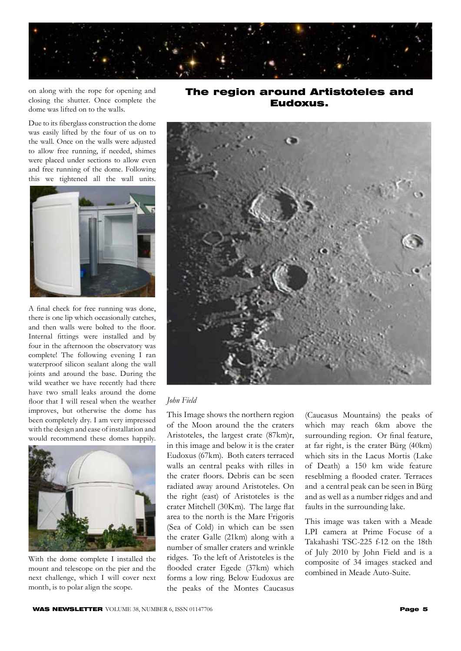

on along with the rope for opening and closing the shutter. Once complete the dome was lifted on to the walls.

Due to its fiberglass construction the dome was easily lifted by the four of us on to the wall. Once on the walls were adjusted to allow free running, if needed, shimes were placed under sections to allow even and free running of the dome. Following this we tightened all the wall units.



A final check for free running was done, there is one lip which occasionally catches, and then walls were bolted to the floor. Internal fittings were installed and by four in the afternoon the observatory was complete! The following evening I ran waterproof silicon sealant along the wall joints and around the base. During the wild weather we have recently had there have two small leaks around the dome floor that I will reseal when the weather improves, but otherwise the dome has been completely dry. I am very impressed with the design and ease of installation and would recommend these domes happily.



With the dome complete I installed the mount and telescope on the pier and the next challenge, which I will cover next month, is to polar align the scope.

The region around Artistoteles and Eudoxus.



#### *John Field*

This Image shows the northern region of the Moon around the the craters Aristoteles, the largest crate (87km)r, in this image and below it is the crater Eudoxus (67km). Both caters terraced walls an central peaks with rilles in the crater floors. Debris can be seen radiated away around Aristoteles. On the right (east) of Aristoteles is the crater Mitchell (30Km). The large flat area to the north is the Mare Frigoris (Sea of Cold) in which can be ssen the crater Galle (21km) along with a number of smaller craters and wrinkle ridges. To the left of Aristoteles is the flooded crater Egede (37km) which forms a low ring. Below Eudoxus are the peaks of the Montes Caucasus

(Caucasus Mountains) the peaks of which may reach 6km above the surrounding region. Or final feature, at far right, is the crater Bürg (40km) which sits in the Lacus Mortis (Lake of Death) a 150 km wide feature reseblming a flooded crater. Terraces and a central peak can be seen in Bürg and as well as a number ridges and and faults in the surrounding lake.

This image was taken with a Meade LPI camera at Prime Focuse of a Takahashi TSC-225 f-12 on the 18th of July 2010 by John Field and is a composite of 34 images stacked and combined in Meade Auto-Suite.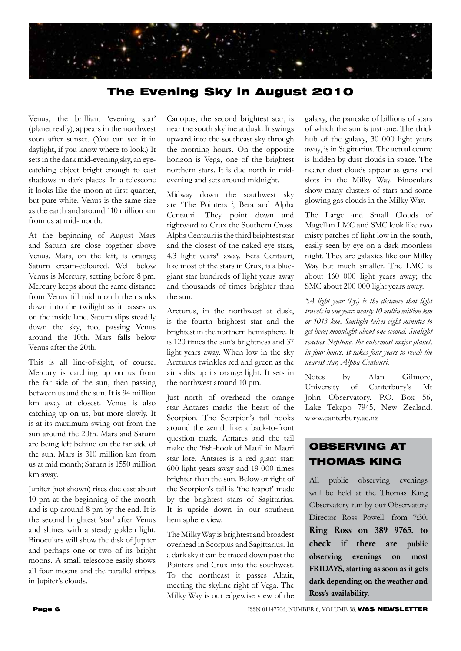

# The Evening Sky in August 2010

Venus, the brilliant 'evening star' (planet really), appears in the northwest soon after sunset. (You can see it in daylight, if you know where to look.) It sets in the dark mid-evening sky, an eyecatching object bright enough to cast shadows in dark places. In a telescope it looks like the moon at first quarter, but pure white. Venus is the same size as the earth and around 110 million km from us at mid-month.

At the beginning of August Mars and Saturn are close together above Venus. Mars, on the left, is orange; Saturn cream-coloured. Well below Venus is Mercury, setting before 8 pm. Mercury keeps about the same distance from Venus till mid month then sinks down into the twilight as it passes us on the inside lane. Saturn slips steadily down the sky, too, passing Venus around the 10th. Mars falls below Venus after the 20th.

This is all line-of-sight, of course. Mercury is catching up on us from the far side of the sun, then passing between us and the sun. It is 94 million km away at closest. Venus is also catching up on us, but more slowly. It is at its maximum swing out from the sun around the 20th. Mars and Saturn are being left behind on the far side of the sun. Mars is 310 million km from us at mid month; Saturn is 1550 million km away.

Jupiter (not shown) rises due east about 10 pm at the beginning of the month and is up around 8 pm by the end. It is the second brightest 'star' after Venus and shines with a steady golden light. Binoculars will show the disk of Jupiter and perhaps one or two of its bright moons. A small telescope easily shows all four moons and the parallel stripes in Jupiter's clouds.

Canopus, the second brightest star, is near the south skyline at dusk. It swings upward into the southeast sky through the morning hours. On the opposite horizon is Vega, one of the brightest northern stars. It is due north in midevening and sets around midnight.

Midway down the southwest sky are 'The Pointers ', Beta and Alpha Centauri. They point down and rightward to Crux the Southern Cross. Alpha Centauri is the third brightest star and the closest of the naked eye stars, 4.3 light years\* away. Beta Centauri, like most of the stars in Crux, is a bluegiant star hundreds of light years away and thousands of times brighter than the sun.

Arcturus, in the northwest at dusk, is the fourth brightest star and the brightest in the northern hemisphere. It is 120 times the sun's brightness and 37 light years away. When low in the sky Arcturus twinkles red and green as the air splits up its orange light. It sets in the northwest around 10 pm.

Just north of overhead the orange star Antares marks the heart of the Scorpion. The Scorpion's tail hooks around the zenith like a back-to-front question mark. Antares and the tail make the 'fish-hook of Maui' in Maori star lore. Antares is a red giant star: 600 light years away and 19 000 times brighter than the sun. Below or right of the Scorpion's tail is 'the teapot' made by the brightest stars of Sagittarius. It is upside down in our southern hemisphere view.

The Milky Way is brightest and broadest overhead in Scorpius and Sagittarius. In a dark sky it can be traced down past the Pointers and Crux into the southwest. To the northeast it passes Altair, meeting the skyline right of Vega. The Milky Way is our edgewise view of the galaxy, the pancake of billions of stars of which the sun is just one. The thick hub of the galaxy, 30 000 light years away, is in Sagittarius. The actual centre is hidden by dust clouds in space. The nearer dust clouds appear as gaps and slots in the Milky Way. Binoculars show many clusters of stars and some glowing gas clouds in the Milky Way.

The Large and Small Clouds of Magellan LMC and SMC look like two misty patches of light low in the south, easily seen by eye on a dark moonless night. They are galaxies like our Milky Way but much smaller. The LMC is about 160 000 light years away; the SMC about 200 000 light years away.

*\*A light year (l.y.) is the distance that light travels in one year: nearly 10 millin million km or 1013 km. Sunlight takes eight minutes to get here; moonlight about one second. Sunlight reaches Neptune, the outermost major planet, in four hours. It takes four years to reach the nearest star, Alpha Centauri.*

Notes by Alan Gilmore, University of Canterbury's Mt John Observatory, P.O. Box 56, Lake Tekapo 7945, New Zealand. www.canterbury.ac.nz

# OBSERVING AT THOMAS KING

All public observing evenings will be held at the Thomas King Observatory run by our Observatory Director Ross Powell. from 7:30. Ring Ross on 389 9765. to check if there are public observing evenings on most FRIDAYS, starting as soon as it gets dark depending on the weather and Ross's availability.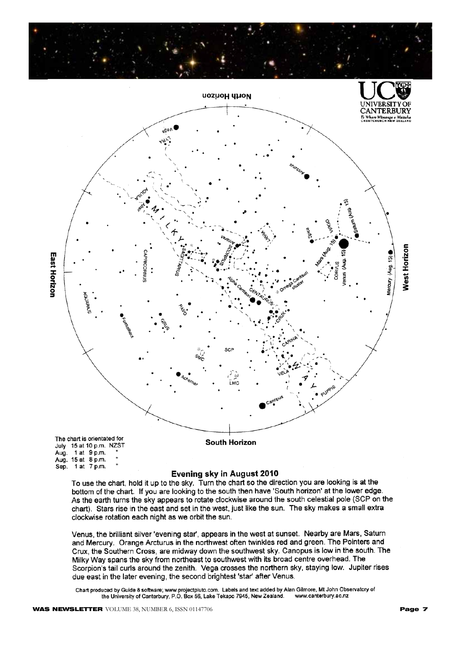

bottom of the chart. If you are looking to the south then have 'South horizon' at the lower edge. As the earth turns the sky appears to rotate clockwise around the south celestial pole (SCP on the chart). Stars rise in the east and set in the west, just like the sun. The sky makes a small extra clockwise rotation each night as we orbit the sun.

Venus, the brilliant silver 'evening star', appears in the west at sunset. Nearby are Mars, Saturn and Mercury. Orange Arcturus in the northwest often twinkles red and green. The Pointers and Crux, the Southern Cross, are midway down the southwest sky. Canopus is low in the south. The Milky Way spans the sky from northeast to southwest with its broad centre overhead. The Scorpion's tail curls around the zenith. Vega crosses the northern sky, staying low. Jupiter rises due east in the later evening, the second brightest 'star' after Venus.

Chart produced by Guide 8 software; www.projectpluto.com. Labels and text added by Alan Gilmore, Mt John Observatory of the University of Canterbury, P.O. Box 56, Lake Tekapo 7945, New Zealand. www.canterbury.ac.nz